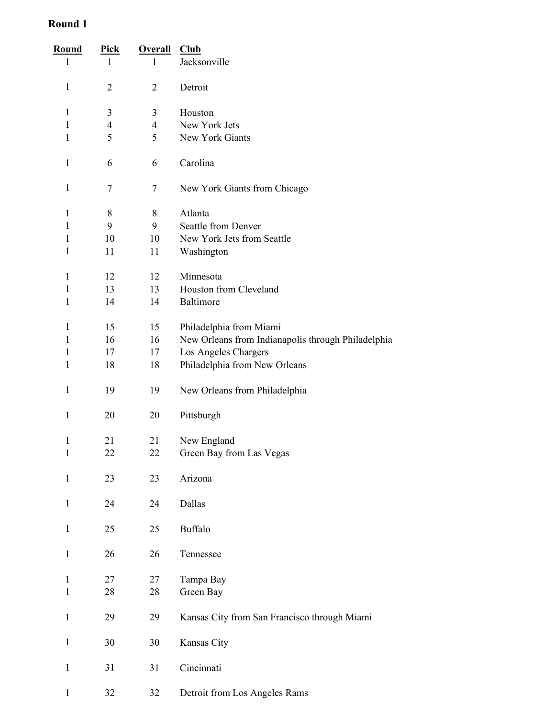| <u>Round</u> | <u>Pick</u>              | <b>Overall</b>           | Club                                               |
|--------------|--------------------------|--------------------------|----------------------------------------------------|
| 1            | $\mathbf{1}$             | 1                        | Jacksonville                                       |
| 1            | $\overline{2}$           | $\overline{2}$           | Detroit                                            |
| $\mathbf{1}$ | 3                        | 3                        | Houston                                            |
| 1            | $\overline{\mathcal{A}}$ | $\overline{\mathcal{A}}$ | New York Jets                                      |
| 1            | 5                        | 5                        | New York Giants                                    |
| $\mathbf{1}$ | 6                        | 6                        | Carolina                                           |
| $\mathbf{1}$ | 7                        | 7                        | New York Giants from Chicago                       |
| 1            | 8                        | 8                        | Atlanta                                            |
| 1            | 9                        | 9                        | <b>Seattle from Denver</b>                         |
| 1            | 10                       | 10                       | New York Jets from Seattle                         |
| 1            | 11                       | 11                       | Washington                                         |
| 1            | 12                       | 12                       | Minnesota                                          |
| $\mathbf{1}$ | 13                       | 13                       | Houston from Cleveland                             |
| 1            | 14                       | 14                       | Baltimore                                          |
| 1            | 15                       | 15                       | Philadelphia from Miami                            |
| 1            | 16                       | 16                       | New Orleans from Indianapolis through Philadelphia |
| 1            | 17                       | 17                       | Los Angeles Chargers                               |
| 1            | 18                       | 18                       | Philadelphia from New Orleans                      |
| 1            | 19                       | 19                       | New Orleans from Philadelphia                      |
| $\mathbf{1}$ | 20                       | 20                       | Pittsburgh                                         |
| 1            | 21                       | 21                       | New England                                        |
| $\mathbf{1}$ | 22                       | 22                       | Green Bay from Las Vegas                           |
|              |                          |                          |                                                    |
| $\mathbf{1}$ | 23                       | 23                       | Arizona                                            |
| $\mathbf{1}$ | 24                       | 24                       | Dallas                                             |
| $\mathbf{1}$ | 25                       | 25                       | <b>Buffalo</b>                                     |
| $\mathbf{1}$ | 26                       | 26                       | Tennessee                                          |
| $\mathbf{1}$ | 27                       | 27                       | Tampa Bay                                          |
| $\mathbf{1}$ | 28                       | 28                       | Green Bay                                          |
|              |                          |                          |                                                    |
| $\mathbf{1}$ | 29                       | 29                       | Kansas City from San Francisco through Miami       |
| $\mathbf{1}$ | 30                       | 30                       | Kansas City                                        |
| $\mathbf{1}$ | 31                       | 31                       | Cincinnati                                         |
| $\mathbf{1}$ | 32                       | 32                       | Detroit from Los Angeles Rams                      |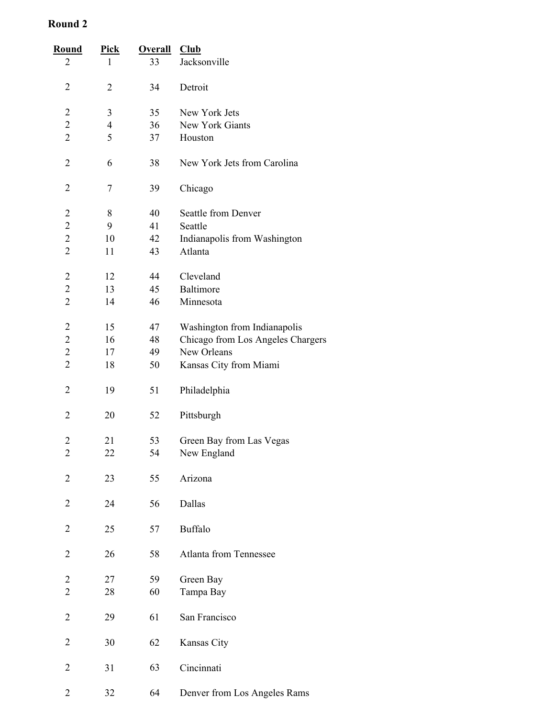| <b>Round</b>   | <u>Pick</u>              | <b>Overall</b> | Club                              |
|----------------|--------------------------|----------------|-----------------------------------|
| $\overline{2}$ | 1                        | 33             | Jacksonville                      |
| $\overline{2}$ | 2                        | 34             | Detroit                           |
| 2              | 3                        | 35             | New York Jets                     |
| $\overline{c}$ | $\overline{\mathcal{A}}$ | 36             | New York Giants                   |
| $\overline{2}$ | 5                        | 37             | Houston                           |
| $\overline{2}$ | 6                        | 38             | New York Jets from Carolina       |
| 2              | 7                        | 39             | Chicago                           |
| $\overline{c}$ | 8                        | 40             | Seattle from Denver               |
| $\overline{c}$ | 9                        | 41             | Seattle                           |
| $\overline{c}$ | 10                       | 42             | Indianapolis from Washington      |
| $\overline{2}$ | 11                       | 43             | Atlanta                           |
| $\overline{c}$ | 12                       | 44             | Cleveland                         |
| $\overline{c}$ | 13                       | 45             | Baltimore                         |
| $\overline{c}$ | 14                       | 46             | Minnesota                         |
| $\overline{c}$ | 15                       | 47             | Washington from Indianapolis      |
| $\overline{c}$ | 16                       | 48             | Chicago from Los Angeles Chargers |
| $\overline{c}$ | 17                       | 49             | New Orleans                       |
| $\overline{2}$ | 18                       | 50             | Kansas City from Miami            |
| $\overline{2}$ | 19                       | 51             | Philadelphia                      |
| 2              | 20                       | 52             | Pittsburgh                        |
| $\overline{c}$ | 21                       | 53             | Green Bay from Las Vegas          |
| $\overline{c}$ | 22                       | 54             | New England                       |
|                |                          |                |                                   |
| $\overline{c}$ | 23                       | 55             | Arizona                           |
| $\overline{c}$ | 24                       | 56             | Dallas                            |
| $\overline{2}$ | 25                       | 57             | Buffalo                           |
| 2              | 26                       | 58             | <b>Atlanta from Tennessee</b>     |
| $\overline{c}$ | 27                       | 59             | Green Bay                         |
| $\overline{2}$ | 28                       | 60             | Tampa Bay                         |
|                |                          |                |                                   |
| $\overline{2}$ | 29                       | 61             | San Francisco                     |
| $\overline{c}$ | 30                       | 62             | Kansas City                       |
| $\overline{2}$ | 31                       | 63             | Cincinnati                        |
| $\overline{2}$ | 32                       | 64             | Denver from Los Angeles Rams      |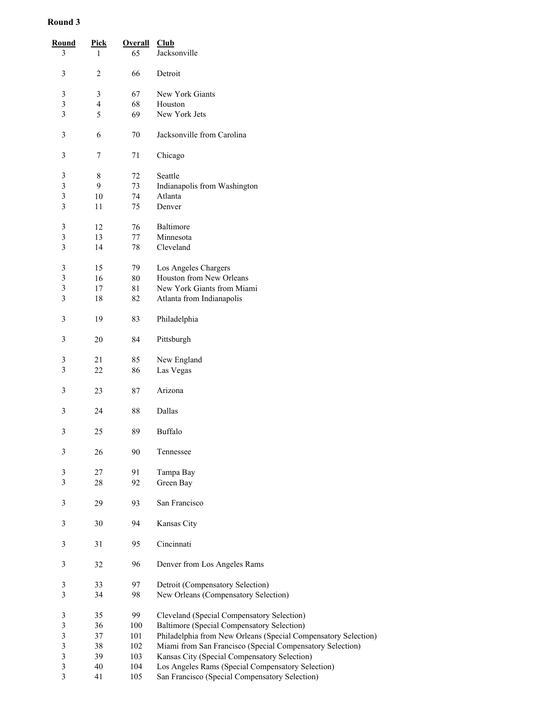| <b>Round</b><br>3       | <b>Pick</b><br>$\mathbf{1}$ | <b>Overall</b><br>65 | Club<br>Jacksonville                                           |
|-------------------------|-----------------------------|----------------------|----------------------------------------------------------------|
|                         |                             |                      |                                                                |
| 3                       | 2                           | 66                   | Detroit                                                        |
| $\mathfrak{Z}$          | $\mathfrak{Z}$              | 67                   | New York Giants                                                |
| $\mathfrak{Z}$          | $\overline{\mathcal{A}}$    | 68                   | Houston                                                        |
| 3                       | 5                           | 69                   | New York Jets                                                  |
|                         |                             |                      |                                                                |
| 3                       | 6                           | 70                   | Jacksonville from Carolina                                     |
| 3                       | 7                           | 71                   | Chicago                                                        |
| $\sqrt{3}$              | 8                           | 72                   | Seattle                                                        |
| $\mathfrak{Z}$          | 9                           | 73                   | Indianapolis from Washington                                   |
| 3                       | 10                          | 74                   | Atlanta                                                        |
| 3                       | 11                          | 75                   | Denver                                                         |
|                         |                             |                      |                                                                |
| $\mathfrak{Z}$          | 12                          | 76                   | Baltimore                                                      |
| 3                       | 13                          | $77 \,$              | Minnesota                                                      |
| $\overline{3}$          | 14                          | 78                   | Cleveland                                                      |
|                         |                             |                      |                                                                |
| $\mathfrak{Z}$          | 15                          | 79                   | Los Angeles Chargers                                           |
| $\overline{\mathbf{3}}$ | 16                          | 80                   | Houston from New Orleans                                       |
| 3                       | 17                          | 81                   | New York Giants from Miami                                     |
| 3                       | 18                          | 82                   | Atlanta from Indianapolis                                      |
|                         |                             |                      |                                                                |
| 3                       | 19                          | 83                   | Philadelphia                                                   |
| $\mathfrak{Z}$          | 20                          | 84                   | Pittsburgh                                                     |
| $\mathfrak{Z}$          | 21                          | 85                   | New England                                                    |
| 3                       | 22                          | 86                   | Las Vegas                                                      |
|                         |                             |                      |                                                                |
| 3                       | 23                          | 87                   | Arizona                                                        |
| 3                       | 24                          | 88                   | Dallas                                                         |
| 3                       | 25                          | 89                   | Buffalo                                                        |
| $\mathfrak{Z}$          | 26                          | 90                   | Tennessee                                                      |
| $\mathfrak{Z}$          | 27                          | 91                   |                                                                |
| $\overline{\mathbf{3}}$ |                             |                      | Tampa Bay                                                      |
|                         | 28                          | 92                   | Green Bay                                                      |
| $\mathfrak{Z}$          | 29                          | 93                   | San Francisco                                                  |
| 3                       | 30                          | 94                   | Kansas City                                                    |
| 3                       | 31                          | 95                   | Cincinnati                                                     |
| $\mathfrak{Z}$          | 32                          | 96                   | Denver from Los Angeles Rams                                   |
|                         |                             |                      |                                                                |
| $\sqrt{3}$              | 33                          | 97                   | Detroit (Compensatory Selection)                               |
| $\overline{3}$          | 34                          | 98                   | New Orleans (Compensatory Selection)                           |
| $\sqrt{3}$              | 35                          | 99                   | Cleveland (Special Compensatory Selection)                     |
| 3                       | 36                          | 100                  | Baltimore (Special Compensatory Selection)                     |
| 3                       | 37                          | 101                  | Philadelphia from New Orleans (Special Compensatory Selection) |
| 3                       | 38                          | 102                  | Miami from San Francisco (Special Compensatory Selection)      |
| $\overline{\mathbf{3}}$ | 39                          | 103                  | Kansas City (Special Compensatory Selection)                   |
| 3                       | $40\,$                      | 104                  | Los Angeles Rams (Special Compensatory Selection)              |
| $\overline{\mathbf{3}}$ | 41                          | 105                  | San Francisco (Special Compensatory Selection)                 |
|                         |                             |                      |                                                                |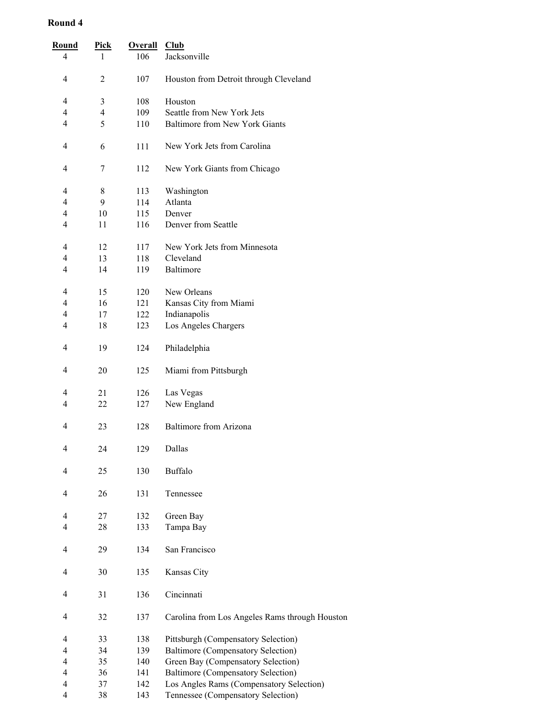| <b>Round</b><br>$\overline{4}$ | <u>Pick</u><br>1 | <b>Overall</b><br>106 | $_{\text{Club}}$<br>Jacksonville               |
|--------------------------------|------------------|-----------------------|------------------------------------------------|
|                                |                  |                       |                                                |
| 4                              | 2                | 107                   | Houston from Detroit through Cleveland         |
| 4                              | 3                | 108                   | Houston                                        |
| 4                              | $\overline{4}$   | 109                   | Seattle from New York Jets                     |
| 4                              | 5                | 110                   | <b>Baltimore from New York Giants</b>          |
| 4                              | 6                | 111                   | New York Jets from Carolina                    |
| 4                              | 7                | 112                   | New York Giants from Chicago                   |
| 4                              | 8                | 113                   | Washington                                     |
| 4                              | 9                | 114                   | Atlanta                                        |
| 4                              | 10               | 115                   | Denver                                         |
| 4                              | 11               | 116                   | Denver from Seattle                            |
| 4                              | 12               | 117                   | New York Jets from Minnesota                   |
| 4                              | 13               | 118                   | Cleveland                                      |
| 4                              | 14               | 119                   | Baltimore                                      |
| 4                              | 15               | 120                   | New Orleans                                    |
| 4                              | 16               | 121                   | Kansas City from Miami                         |
| 4                              | 17               | 122                   | Indianapolis                                   |
| 4                              | 18               | 123                   | Los Angeles Chargers                           |
| 4                              | 19               | 124                   | Philadelphia                                   |
| 4                              | 20               | 125                   | Miami from Pittsburgh                          |
| 4                              | 21               | 126                   | Las Vegas                                      |
| 4                              | 22               | 127                   | New England                                    |
| 4                              | 23               | 128                   | Baltimore from Arizona                         |
| 4                              | 24               | 129                   | Dallas                                         |
| 4                              | 25               | 130                   | Buffalo                                        |
| 4                              | 26               | 131                   | Tennessee                                      |
| 4<br>4                         | 27<br>28         | 132<br>133            | Green Bay<br>Tampa Bay                         |
| 4                              | 29               | 134                   | San Francisco                                  |
| 4                              | 30               | 135                   | Kansas City                                    |
| 4                              | 31               | 136                   | Cincinnati                                     |
| 4                              | 32               | 137                   | Carolina from Los Angeles Rams through Houston |
| 4                              | 33               | 138                   | Pittsburgh (Compensatory Selection)            |
| 4                              | 34               | 139                   | Baltimore (Compensatory Selection)             |
| 4                              | 35               | 140                   | Green Bay (Compensatory Selection)             |
| $\overline{4}$                 | 36               | 141                   | Baltimore (Compensatory Selection)             |
| 4                              | 37               | 142                   | Los Angles Rams (Compensatory Selection)       |
| 4                              | 38               | 143                   | Tennessee (Compensatory Selection)             |
|                                |                  |                       |                                                |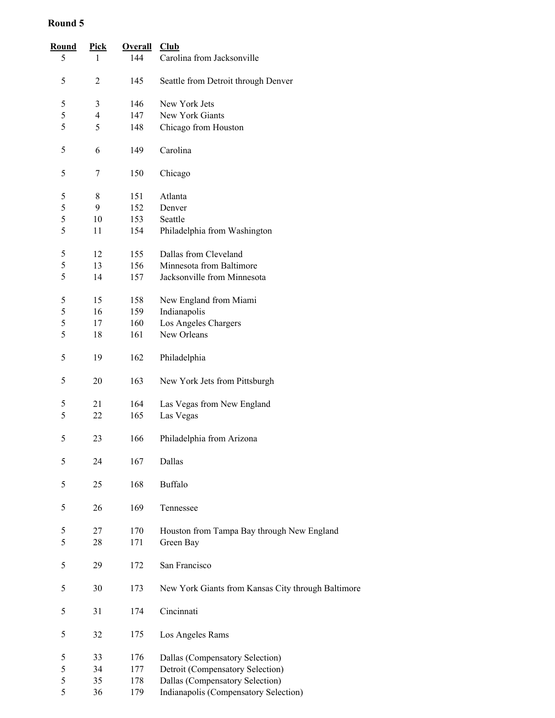| Round | <b>Pick</b>             | <b>Overall</b> | Club                                               |
|-------|-------------------------|----------------|----------------------------------------------------|
| 5     | 1                       | 144            | Carolina from Jacksonville                         |
| 5     | $\overline{c}$          | 145            | Seattle from Detroit through Denver                |
| 5     | 3                       | 146            | New York Jets                                      |
| 5     | $\overline{\mathbf{4}}$ | 147            | New York Giants                                    |
| 5     | 5                       | 148            | Chicago from Houston                               |
|       |                         |                |                                                    |
| 5     | 6                       | 149            | Carolina                                           |
| 5     | 7                       | 150            | Chicago                                            |
| 5     | 8                       | 151            | Atlanta                                            |
| 5     | 9                       | 152            | Denver                                             |
| 5     | 10                      | 153            | Seattle                                            |
| 5     | 11                      | 154            | Philadelphia from Washington                       |
| 5     | 12                      | 155            | Dallas from Cleveland                              |
| 5     | 13                      | 156            | Minnesota from Baltimore                           |
| 5     | 14                      | 157            | Jacksonville from Minnesota                        |
|       |                         |                |                                                    |
| 5     | 15                      | 158            | New England from Miami                             |
| 5     | 16                      | 159            | Indianapolis                                       |
| 5     | 17                      | 160            | Los Angeles Chargers                               |
| 5     | 18                      | 161            | New Orleans                                        |
| 5     | 19                      | 162            | Philadelphia                                       |
| 5     | 20                      | 163            | New York Jets from Pittsburgh                      |
| 5     | 21                      | 164            | Las Vegas from New England                         |
| 5     | 22                      | 165            | Las Vegas                                          |
| 5     | 23                      | 166            | Philadelphia from Arizona                          |
|       |                         |                |                                                    |
| 5     | 24                      | 167            | Dallas                                             |
| 5     | 25                      | 168            | <b>Buffalo</b>                                     |
| 5     | 26                      | 169            | Tennessee                                          |
| 5     | 27                      | 170            | Houston from Tampa Bay through New England         |
| 5     | 28                      | 171            | Green Bay                                          |
| 5     | 29                      | 172            | San Francisco                                      |
| 5     | 30                      | 173            | New York Giants from Kansas City through Baltimore |
| 5     | 31                      | 174            | Cincinnati                                         |
| 5     | 32                      | 175            | Los Angeles Rams                                   |
| 5     | 33                      | 176            | Dallas (Compensatory Selection)                    |
| 5     | 34                      | 177            | Detroit (Compensatory Selection)                   |
| 5     | 35                      | 178            | Dallas (Compensatory Selection)                    |
| 5     | 36                      | 179            | Indianapolis (Compensatory Selection)              |
|       |                         |                |                                                    |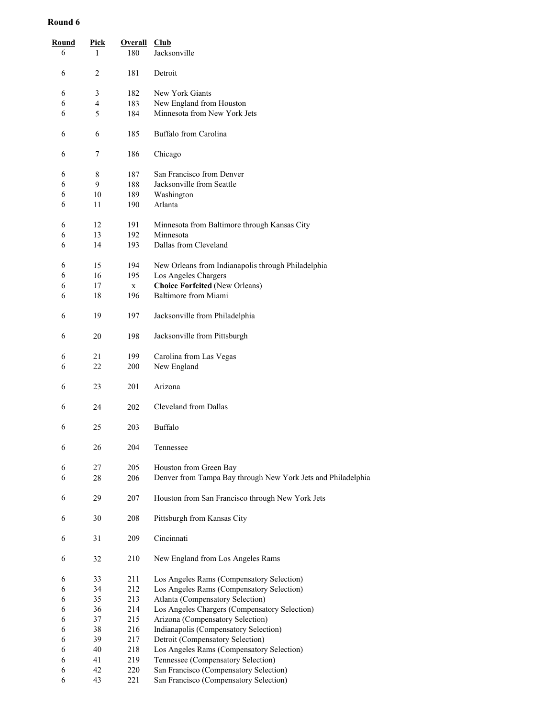| Round<br>6 | <u>Pick</u><br>1 | <b>Overall</b><br>180 | Club<br>Jacksonville                                         |
|------------|------------------|-----------------------|--------------------------------------------------------------|
| 6          | 2                | 181                   | Detroit                                                      |
| 6          | 3                | 182                   | New York Giants                                              |
| 6          | 4                | 183                   | New England from Houston                                     |
| 6          | 5                | 184                   | Minnesota from New York Jets                                 |
|            |                  |                       |                                                              |
| 6          | 6                | 185                   | Buffalo from Carolina                                        |
| 6          | 7                | 186                   | Chicago                                                      |
| 6          | 8                | 187                   | San Francisco from Denver                                    |
| 6          | 9                | 188                   | Jacksonville from Seattle                                    |
| 6          | 10               | 189                   | Washington                                                   |
| 6          | 11               | 190                   | Atlanta                                                      |
| 6          | 12               | 191                   | Minnesota from Baltimore through Kansas City                 |
| 6          | 13               | 192                   | Minnesota                                                    |
| 6          | 14               | 193                   | Dallas from Cleveland                                        |
|            |                  |                       |                                                              |
| 6          | 15               | 194                   | New Orleans from Indianapolis through Philadelphia           |
| 6          | 16               | 195                   | Los Angeles Chargers                                         |
| 6          | 17               | $\mathbf X$           | <b>Choice Forfeited (New Orleans)</b>                        |
| 6          | 18               | 196                   | Baltimore from Miami                                         |
| 6          | 19               | 197                   | Jacksonville from Philadelphia                               |
| 6          | 20               | 198                   | Jacksonville from Pittsburgh                                 |
| 6          | 21               | 199                   | Carolina from Las Vegas                                      |
| 6          | 22               | 200                   | New England                                                  |
| 6          | 23               | 201                   | Arizona                                                      |
| 6          | 24               | 202                   | Cleveland from Dallas                                        |
| 6          | 25               | 203                   | Buffalo                                                      |
| 6          | 26               | 204                   | Tennessee                                                    |
| 6          | 27               | 205                   | Houston from Green Bay                                       |
| 6          | 28               | 206                   | Denver from Tampa Bay through New York Jets and Philadelphia |
| 6          | 29               | 207                   | Houston from San Francisco through New York Jets             |
| 6          | 30               | 208                   | Pittsburgh from Kansas City                                  |
| 6          | 31               | 209                   | Cincinnati                                                   |
| 6          | 32               | 210                   | New England from Los Angeles Rams                            |
| 6          | 33               | 211                   | Los Angeles Rams (Compensatory Selection)                    |
| 6          | 34               | 212                   | Los Angeles Rams (Compensatory Selection)                    |
| 6          | 35               | 213                   | Atlanta (Compensatory Selection)                             |
| 6          | 36               | 214                   | Los Angeles Chargers (Compensatory Selection)                |
| 6          | 37               | 215                   | Arizona (Compensatory Selection)                             |
| 6          | 38               | 216                   | Indianapolis (Compensatory Selection)                        |
| 6          | 39               | 217                   | Detroit (Compensatory Selection)                             |
| 6          | 40               | 218                   | Los Angeles Rams (Compensatory Selection)                    |
| 6          | 41               | 219                   | Tennessee (Compensatory Selection)                           |
| 6          | 42               | 220                   | San Francisco (Compensatory Selection)                       |
| 6          | 43               | 221                   | San Francisco (Compensatory Selection)                       |
|            |                  |                       |                                                              |